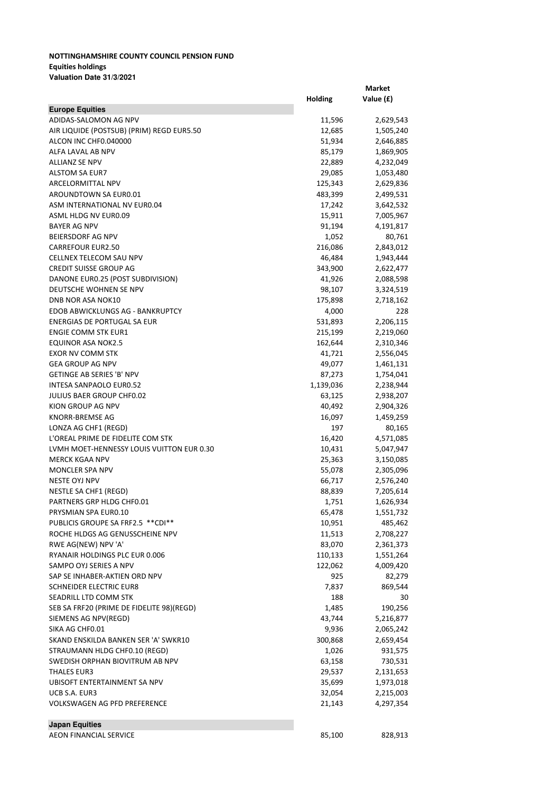## **NOTTINGHAMSHIRE COUNTY COUNCIL PENSION FUND Equities holdings Valuation Date 31/3/2021**

|                                           | Holding   | Value (£) |
|-------------------------------------------|-----------|-----------|
| <b>Europe Equities</b>                    |           |           |
| ADIDAS-SALOMON AG NPV                     | 11,596    | 2,629,543 |
| AIR LIQUIDE (POSTSUB) (PRIM) REGD EUR5.50 | 12,685    | 1,505,240 |
| ALCON INC CHF0.040000                     | 51,934    | 2,646,885 |
| ALFA LAVAL AB NPV                         | 85,179    | 1,869,905 |
| <b>ALLIANZ SE NPV</b>                     | 22,889    | 4,232,049 |
| <b>ALSTOM SA EUR7</b>                     | 29,085    | 1,053,480 |
| ARCELORMITTAL NPV                         | 125,343   | 2,629,836 |
| AROUNDTOWN SA EUR0.01                     | 483,399   | 2,499,531 |
| ASM INTERNATIONAL NV EUR0.04              | 17,242    | 3,642,532 |
| ASML HLDG NV EUR0.09                      | 15,911    | 7,005,967 |
| <b>BAYER AG NPV</b>                       | 91,194    | 4,191,817 |
| BEIERSDORF AG NPV                         | 1,052     | 80,761    |
| <b>CARREFOUR EUR2.50</b>                  | 216,086   | 2,843,012 |
| CELLNEX TELECOM SAU NPV                   | 46,484    | 1,943,444 |
| <b>CREDIT SUISSE GROUP AG</b>             | 343,900   | 2,622,477 |
| DANONE EURO.25 (POST SUBDIVISION)         | 41,926    | 2,088,598 |
| DEUTSCHE WOHNEN SE NPV                    | 98,107    | 3,324,519 |
| <b>DNB NOR ASA NOK10</b>                  | 175,898   | 2,718,162 |
| EDOB ABWICKLUNGS AG - BANKRUPTCY          | 4,000     | 228       |
| ENERGIAS DE PORTUGAL SA EUR               | 531,893   | 2,206,115 |
| <b>ENGIE COMM STK EUR1</b>                | 215,199   | 2,219,060 |
| EQUINOR ASA NOK2.5                        | 162,644   | 2,310,346 |
| <b>EXOR NV COMM STK</b>                   | 41,721    | 2,556,045 |
| <b>GEA GROUP AG NPV</b>                   | 49,077    | 1,461,131 |
| <b>GETINGE AB SERIES 'B' NPV</b>          | 87,273    | 1,754,041 |
| INTESA SANPAOLO EUR0.52                   | 1,139,036 | 2,238,944 |
| JULIUS BAER GROUP CHF0.02                 | 63,125    | 2,938,207 |
| KION GROUP AG NPV                         | 40,492    | 2,904,326 |
| KNORR-BREMSE AG                           | 16,097    | 1,459,259 |
| LONZA AG CHF1 (REGD)                      | 197       | 80,165    |
| L'OREAL PRIME DE FIDELITE COM STK         | 16,420    | 4,571,085 |
| LVMH MOET-HENNESSY LOUIS VUITTON EUR 0.30 | 10,431    | 5,047,947 |
| <b>MERCK KGAA NPV</b>                     | 25,363    | 3,150,085 |
| <b>MONCLER SPA NPV</b>                    | 55,078    | 2,305,096 |
| <b>NESTE OYJ NPV</b>                      | 66,717    | 2,576,240 |
| NESTLE SA CHF1 (REGD)                     | 88,839    | 7,205,614 |
| PARTNERS GRP HLDG CHF0.01                 | 1,751     | 1,626,934 |
| PRYSMIAN SPA EURO.10                      | 65,478    | 1,551,732 |
| PUBLICIS GROUPE SA FRF2.5 ** CDI**        | 10,951    | 485,462   |
| ROCHE HLDGS AG GENUSSCHEINE NPV           | 11,513    | 2,708,227 |
| RWE AG(NEW) NPV 'A'                       | 83,070    | 2,361,373 |
| RYANAIR HOLDINGS PLC EUR 0.006            | 110,133   | 1,551,264 |
| SAMPO OYJ SERIES A NPV                    | 122,062   | 4,009,420 |
| SAP SE INHABER-AKTIEN ORD NPV             | 925       | 82,279    |
| <b>SCHNEIDER ELECTRIC EUR8</b>            | 7,837     | 869,544   |
| SEADRILL LTD COMM STK                     | 188       | 30        |
| SEB SA FRF20 (PRIME DE FIDELITE 98)(REGD) | 1,485     | 190,256   |
| SIEMENS AG NPV(REGD)                      | 43,744    | 5,216,877 |
| SIKA AG CHF0.01                           | 9,936     | 2,065,242 |
| SKAND ENSKILDA BANKEN SER 'A' SWKR10      | 300,868   | 2,659,454 |
| STRAUMANN HLDG CHF0.10 (REGD)             | 1,026     | 931,575   |
| SWEDISH ORPHAN BIOVITRUM AB NPV           | 63,158    | 730,531   |
| <b>THALES EUR3</b>                        | 29,537    | 2,131,653 |
| UBISOFT ENTERTAINMENT SA NPV              | 35,699    | 1,973,018 |
| UCB S.A. EUR3                             | 32,054    | 2,215,003 |
| <b>VOLKSWAGEN AG PFD PREFERENCE</b>       | 21,143    | 4,297,354 |
|                                           |           |           |
| <b>Japan Equities</b>                     |           |           |
| AEON FINANCIAL SERVICE                    | 85,100    | 828,913   |

**Market**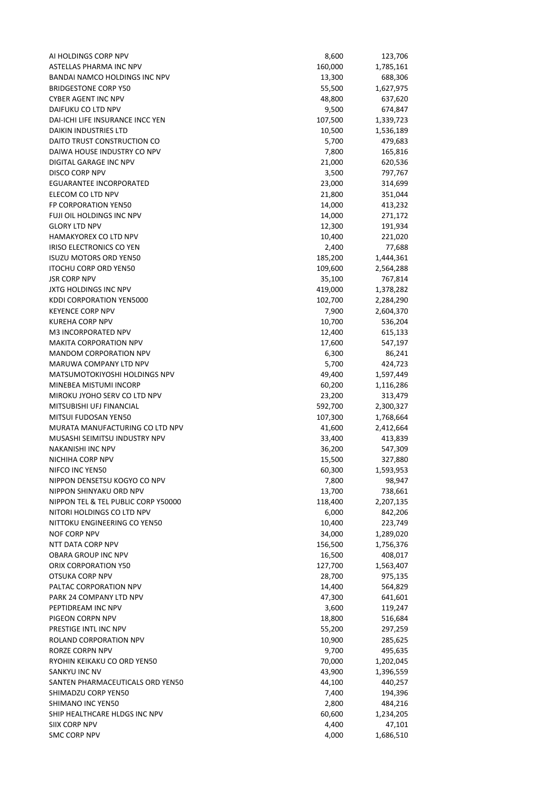| AI HOLDINGS CORP NPV                            | 8,600   | 123,706   |
|-------------------------------------------------|---------|-----------|
| ASTELLAS PHARMA INC NPV                         | 160,000 | 1,785,161 |
| BANDAI NAMCO HOLDINGS INC NPV                   | 13,300  | 688,306   |
| <b>BRIDGESTONE CORP Y50</b>                     | 55,500  | 1,627,975 |
| <b>CYBER AGENT INC NPV</b>                      | 48,800  | 637,620   |
| DAIFUKU CO LTD NPV                              | 9,500   | 674,847   |
| DAI-ICHI LIFE INSURANCE INCC YEN                | 107,500 | 1,339,723 |
| DAIKIN INDUSTRIES LTD                           | 10,500  | 1,536,189 |
| DAITO TRUST CONSTRUCTION CO                     | 5,700   | 479,683   |
| DAIWA HOUSE INDUSTRY CO NPV                     | 7,800   | 165,816   |
| DIGITAL GARAGE INC NPV                          | 21,000  | 620,536   |
| DISCO CORP NPV                                  | 3,500   | 797,767   |
| EGUARANTEE INCORPORATED                         | 23,000  | 314,699   |
| ELECOM CO LTD NPV                               | 21,800  | 351,044   |
| FP CORPORATION YEN50                            | 14,000  | 413,232   |
| FUJI OIL HOLDINGS INC NPV                       | 14,000  | 271,172   |
| <b>GLORY LTD NPV</b>                            | 12,300  | 191,934   |
| <b>HAMAKYOREX CO LTD NPV</b>                    | 10,400  | 221,020   |
| <b>IRISO ELECTRONICS CO YEN</b>                 | 2,400   | 77,688    |
| <b>ISUZU MOTORS ORD YEN50</b>                   | 185,200 | 1,444,361 |
| <b>ITOCHU CORP ORD YEN50</b>                    | 109,600 | 2,564,288 |
| <b>JSR CORP NPV</b>                             | 35,100  | 767,814   |
| JXTG HOLDINGS INC NPV                           | 419,000 | 1,378,282 |
| <b>KDDI CORPORATION YEN5000</b>                 | 102,700 | 2,284,290 |
| <b>KEYENCE CORP NPV</b>                         | 7,900   | 2,604,370 |
| <b>KUREHA CORP NPV</b>                          | 10,700  | 536,204   |
| M3 INCORPORATED NPV                             | 12,400  | 615,133   |
| <b>MAKITA CORPORATION NPV</b>                   | 17,600  | 547,197   |
| <b>MANDOM CORPORATION NPV</b>                   | 6,300   | 86,241    |
| MARUWA COMPANY LTD NPV                          | 5,700   | 424,723   |
| MATSUMOTOKIYOSHI HOLDINGS NPV                   | 49,400  | 1,597,449 |
| MINEBEA MISTUMI INCORP                          | 60,200  | 1,116,286 |
| MIROKU JYOHO SERV CO LTD NPV                    | 23,200  | 313,479   |
| MITSUBISHI UFJ FINANCIAL                        | 592,700 | 2,300,327 |
| MITSUI FUDOSAN YEN50                            | 107,300 | 1,768,664 |
| MURATA MANUFACTURING CO LTD NPV                 | 41,600  | 2,412,664 |
| MUSASHI SEIMITSU INDUSTRY NPV                   | 33,400  | 413,839   |
| <b>NAKANISHI INC NPV</b>                        | 36,200  | 547,309   |
| NICHIHA CORP NPV                                | 15,500  | 327,880   |
| NIFCO INC YEN50                                 | 60,300  | 1,593,953 |
| NIPPON DENSETSU KOGYO CO NPV                    | 7,800   | 98,947    |
| NIPPON SHINYAKU ORD NPV                         | 13,700  | 738,661   |
| NIPPON TEL & TEL PUBLIC CORP Y50000             | 118,400 | 2,207,135 |
| NITORI HOLDINGS CO LTD NPV                      | 6,000   | 842,206   |
| NITTOKU ENGINEERING CO YEN50                    | 10,400  | 223,749   |
| NOF CORP NPV                                    | 34,000  | 1,289,020 |
| NTT DATA CORP NPV                               | 156,500 | 1,756,376 |
| OBARA GROUP INC NPV                             | 16,500  | 408,017   |
| ORIX CORPORATION Y50                            | 127,700 | 1,563,407 |
| OTSUKA CORP NPV                                 | 28,700  | 975,135   |
| PALTAC CORPORATION NPV                          | 14,400  | 564,829   |
| PARK 24 COMPANY LTD NPV                         | 47,300  | 641,601   |
| PEPTIDREAM INC NPV                              | 3,600   | 119,247   |
| PIGEON CORPN NPV                                | 18,800  |           |
|                                                 |         | 516,684   |
| PRESTIGE INTL INC NPV<br>ROLAND CORPORATION NPV | 55,200  | 297,259   |
|                                                 | 10,900  | 285,625   |
| RORZE CORPN NPV                                 | 9,700   | 495,635   |
| RYOHIN KEIKAKU CO ORD YEN50                     | 70,000  | 1,202,045 |
| SANKYU INC NV                                   | 43,900  | 1,396,559 |
| SANTEN PHARMACEUTICALS ORD YEN50                | 44,100  | 440,257   |
| SHIMADZU CORP YEN50                             | 7,400   | 194,396   |
| SHIMANO INC YEN50                               | 2,800   | 484,216   |
| SHIP HEALTHCARE HLDGS INC NPV                   | 60,600  | 1,234,205 |
| SIIX CORP NPV                                   | 4,400   | 47,101    |
| <b>SMC CORP NPV</b>                             | 4,000   | 1,686,510 |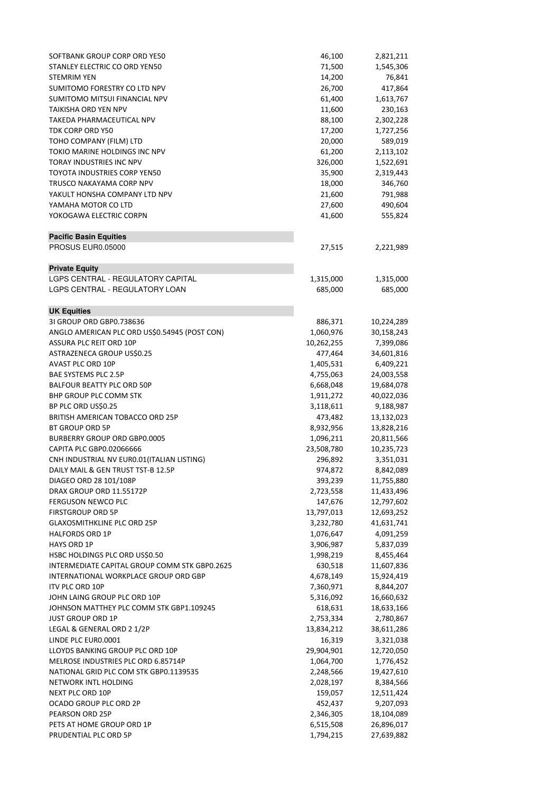| SOFTBANK GROUP CORP ORD YE50                          | 46,100                  | 2,821,211                |
|-------------------------------------------------------|-------------------------|--------------------------|
| STANLEY ELECTRIC CO ORD YEN50                         | 71,500                  | 1,545,306                |
| <b>STEMRIM YEN</b>                                    | 14,200                  | 76,841                   |
| SUMITOMO FORESTRY CO LTD NPV                          | 26,700                  | 417,864                  |
| SUMITOMO MITSUI FINANCIAL NPV                         | 61,400                  | 1,613,767                |
| TAIKISHA ORD YEN NPV                                  | 11,600                  | 230,163                  |
| TAKEDA PHARMACEUTICAL NPV                             | 88,100                  | 2,302,228                |
| TDK CORP ORD Y50                                      | 17,200                  | 1,727,256                |
| TOHO COMPANY (FILM) LTD                               | 20,000                  | 589,019                  |
| TOKIO MARINE HOLDINGS INC NPV                         | 61,200                  | 2,113,102                |
| <b>TORAY INDUSTRIES INC NPV</b>                       | 326,000                 | 1,522,691                |
| TOYOTA INDUSTRIES CORP YEN50                          | 35,900                  | 2,319,443                |
| TRUSCO NAKAYAMA CORP NPV                              | 18,000                  | 346,760                  |
| YAKULT HONSHA COMPANY LTD NPV                         | 21,600                  | 791,988                  |
| YAMAHA MOTOR CO LTD                                   | 27,600                  | 490,604                  |
| YOKOGAWA ELECTRIC CORPN                               | 41,600                  | 555,824                  |
| <b>Pacific Basin Equities</b>                         |                         |                          |
| PROSUS EUR0.05000                                     | 27,515                  | 2,221,989                |
| <b>Private Equity</b>                                 |                         |                          |
| LGPS CENTRAL - REGULATORY CAPITAL                     | 1,315,000               | 1,315,000                |
| LGPS CENTRAL - REGULATORY LOAN                        | 685,000                 | 685,000                  |
| <b>UK Equities</b>                                    |                         |                          |
| 31 GROUP ORD GBP0.738636                              | 886,371                 | 10,224,289               |
| ANGLO AMERICAN PLC ORD US\$0.54945 (POST CON)         | 1,060,976               | 30,158,243               |
| <b>ASSURA PLC REIT ORD 10P</b>                        | 10,262,255              | 7,399,086                |
| ASTRAZENECA GROUP US\$0.25                            | 477,464                 | 34,601,816               |
| AVAST PLC ORD 10P                                     | 1,405,531               | 6,409,221                |
| BAE SYSTEMS PLC 2.5P                                  | 4,755,063               | 24,003,558               |
| <b>BALFOUR BEATTY PLC ORD 50P</b>                     | 6,668,048               | 19,684,078               |
| BHP GROUP PLC COMM STK                                | 1,911,272               | 40,022,036               |
| BP PLC ORD US\$0.25                                   | 3,118,611               | 9,188,987                |
| BRITISH AMERICAN TOBACCO ORD 25P                      | 473,482                 | 13,132,023               |
| <b>BT GROUP ORD 5P</b>                                | 8,932,956               | 13,828,216               |
| <b>BURBERRY GROUP ORD GBP0.0005</b>                   | 1,096,211               | 20,811,566               |
| CAPITA PLC GBP0.02066666                              | 23,508,780              | 10,235,723               |
| CNH INDUSTRIAL NV EUR0.01(ITALIAN LISTING)            | 296,892                 | 3,351,031                |
| DAILY MAIL & GEN TRUST TST-B 12.5P                    | 974,872                 | 8,842,089                |
| DIAGEO ORD 28 101/108P                                | 393,239                 | 11,755,880               |
| DRAX GROUP ORD 11.55172P<br><b>FERGUSON NEWCO PLC</b> | 2,723,558<br>147,676    | 11,433,496               |
| <b>FIRSTGROUP ORD 5P</b>                              |                         | 12,797,602               |
| <b>GLAXOSMITHKLINE PLC ORD 25P</b>                    | 13,797,013<br>3,232,780 | 12,693,252<br>41,631,741 |
| <b>HALFORDS ORD 1P</b>                                | 1,076,647               | 4,091,259                |
| HAYS ORD 1P                                           | 3,906,987               | 5,837,039                |
| HSBC HOLDINGS PLC ORD US\$0.50                        | 1,998,219               | 8,455,464                |
| INTERMEDIATE CAPITAL GROUP COMM STK GBP0.2625         | 630,518                 | 11,607,836               |
| INTERNATIONAL WORKPLACE GROUP ORD GBP                 | 4,678,149               | 15,924,419               |
| ITV PLC ORD 10P                                       | 7,360,971               | 8,844,207                |
| JOHN LAING GROUP PLC ORD 10P                          | 5,316,092               | 16,660,632               |
| JOHNSON MATTHEY PLC COMM STK GBP1.109245              | 618,631                 | 18,633,166               |
| <b>JUST GROUP ORD 1P</b>                              | 2,753,334               | 2,780,867                |
| LEGAL & GENERAL ORD 2 1/2P                            | 13,834,212              | 38,611,286               |
| LINDE PLC EUR0.0001                                   | 16,319                  | 3,321,038                |
| LLOYDS BANKING GROUP PLC ORD 10P                      | 29,904,901              | 12,720,050               |
| MELROSE INDUSTRIES PLC ORD 6.85714P                   | 1,064,700               | 1,776,452                |
| NATIONAL GRID PLC COM STK GBP0.1139535                | 2,248,566               | 19,427,610               |
| NETWORK INTL HOLDING                                  | 2,028,197               | 8,384,566                |
| NEXT PLC ORD 10P                                      | 159,057                 | 12,511,424               |
| OCADO GROUP PLC ORD 2P                                | 452,437                 | 9,207,093                |
| PEARSON ORD 25P                                       | 2,346,305               | 18,104,089               |
| PETS AT HOME GROUP ORD 1P                             | 6,515,508               | 26,896,017               |
| PRUDENTIAL PLC ORD 5P                                 | 1,794,215               | 27,639,882               |
|                                                       |                         |                          |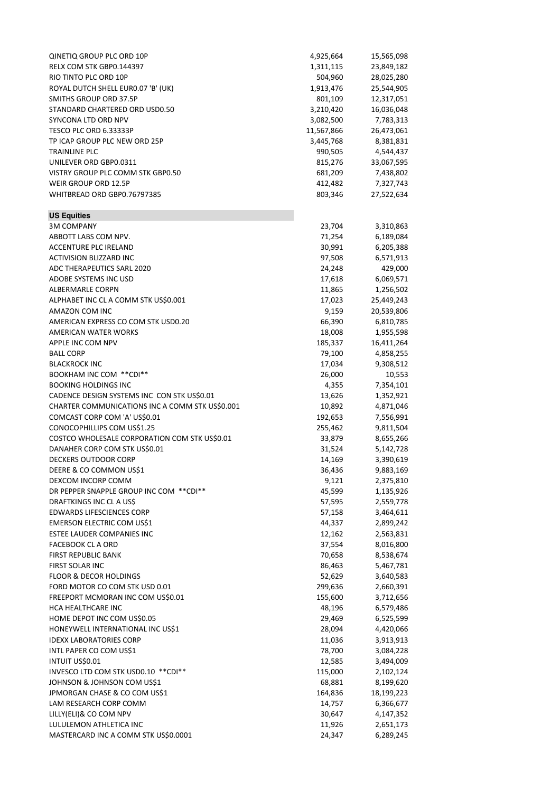| QINETIQ GROUP PLC ORD 10P                       | 4,925,664          | 15,565,098             |
|-------------------------------------------------|--------------------|------------------------|
|                                                 |                    |                        |
| RELX COM STK GBP0.144397                        | 1,311,115          | 23,849,182             |
| RIO TINTO PLC ORD 10P                           | 504,960            | 28,025,280             |
| ROYAL DUTCH SHELL EURO.07 'B' (UK)              | 1,913,476          | 25,544,905             |
| SMITHS GROUP ORD 37.5P                          | 801,109            | 12,317,051             |
| STANDARD CHARTERED ORD USD0.50                  | 3,210,420          | 16,036,048             |
| SYNCONA LTD ORD NPV                             | 3,082,500          | 7,783,313              |
| TESCO PLC ORD 6.33333P                          | 11,567,866         | 26,473,061             |
| TP ICAP GROUP PLC NEW ORD 25P                   | 3,445,768          | 8,381,831              |
| <b>TRAINLINE PLC</b>                            | 990,505            | 4,544,437              |
| UNILEVER ORD GBP0.0311                          | 815,276            | 33,067,595             |
| VISTRY GROUP PLC COMM STK GBP0.50               | 681,209            | 7,438,802              |
| WEIR GROUP ORD 12.5P                            | 412,482            | 7,327,743              |
| WHITBREAD ORD GBP0.76797385                     | 803,346            | 27,522,634             |
| <b>US Equities</b>                              |                    |                        |
| <b>3M COMPANY</b>                               | 23,704             | 3,310,863              |
| ABBOTT LABS COM NPV.                            | 71,254             | 6,189,084              |
| <b>ACCENTURE PLC IRELAND</b>                    | 30,991             | 6,205,388              |
| ACTIVISION BLIZZARD INC                         | 97,508             | 6,571,913              |
| ADC THERAPEUTICS SARL 2020                      | 24,248             | 429,000                |
| ADOBE SYSTEMS INC USD                           | 17,618             | 6,069,571              |
| ALBERMARLE CORPN                                | 11,865             | 1,256,502              |
| ALPHABET INC CL A COMM STK US\$0.001            | 17,023             | 25,449,243             |
| AMAZON COM INC                                  | 9,159              |                        |
|                                                 |                    | 20,539,806             |
| AMERICAN EXPRESS CO COM STK USD0.20             | 66,390             | 6,810,785              |
| AMERICAN WATER WORKS                            | 18,008             | 1,955,598              |
| APPLE INC COM NPV                               | 185,337            | 16,411,264             |
| <b>BALL CORP</b>                                | 79,100             | 4,858,255              |
| <b>BLACKROCK INC</b>                            | 17,034             | 9,308,512              |
| BOOKHAM INC COM ** CDI**                        | 26,000             | 10,553                 |
| <b>BOOKING HOLDINGS INC</b>                     | 4,355              | 7,354,101              |
| CADENCE DESIGN SYSTEMS INC CON STK US\$0.01     | 13,626             | 1,352,921              |
| CHARTER COMMUNICATIONS INC A COMM STK US\$0.001 | 10,892             | 4,871,046              |
| COMCAST CORP COM 'A' US\$0.01                   | 192,653            | 7,556,991              |
| CONOCOPHILLIPS COM US\$1.25                     | 255,462            | 9,811,504              |
| COSTCO WHOLESALE CORPORATION COM STK US\$0.01   | 33,879             | 8,655,266              |
| DANAHER CORP COM STK US\$0.01                   | 31,524             | 5,142,728              |
| DECKERS OUTDOOR CORP                            | 14,169             | 3,390,619              |
| DEERE & CO COMMON US\$1                         | 36,436             | 9,883,169              |
| DEXCOM INCORP COMM                              | 9,121              | 2,375,810              |
| DR PEPPER SNAPPLE GROUP INC COM ** CDI**        | 45,599             | 1,135,926              |
| DRAFTKINGS INC CL A US\$                        | 57,595             | 2,559,778              |
| <b>EDWARDS LIFESCIENCES CORP</b>                | 57,158             | 3,464,611              |
| EMERSON ELECTRIC COM US\$1                      | 44,337             | 2,899,242              |
| ESTEE LAUDER COMPANIES INC                      | 12,162             | 2,563,831              |
| <b>FACEBOOK CL A ORD</b>                        | 37,554             | 8,016,800              |
| <b>FIRST REPUBLIC BANK</b>                      | 70,658             | 8,538,674              |
| FIRST SOLAR INC                                 | 86,463             | 5,467,781              |
| FLOOR & DECOR HOLDINGS                          | 52,629             | 3,640,583              |
| FORD MOTOR CO COM STK USD 0.01                  |                    |                        |
| FREEPORT MCMORAN INC COM US\$0.01               | 299,636<br>155,600 | 2,660,391<br>3,712,656 |
| HCA HEALTHCARE INC                              | 48,196             | 6,579,486              |
| HOME DEPOT INC COM US\$0.05                     | 29,469             | 6,525,599              |
| HONEYWELL INTERNATIONAL INC US\$1               | 28,094             | 4,420,066              |
| <b>IDEXX LABORATORIES CORP</b>                  | 11,036             | 3,913,913              |
| INTL PAPER CO COM US\$1                         | 78,700             | 3,084,228              |
| INTUIT US\$0.01                                 |                    |                        |
|                                                 | 12,585             | 3,494,009              |
| INVESCO LTD COM STK USD0.10 ** CDI**            | 115,000            | 2,102,124              |
| JOHNSON & JOHNSON COM US\$1                     | 68,881             | 8,199,620              |
| JPMORGAN CHASE & CO COM US\$1                   | 164,836            | 18,199,223             |
| LAM RESEARCH CORP COMM                          | 14,757             | 6,366,677              |
| LILLY(ELI)& CO COM NPV                          | 30,647             | 4,147,352              |
| LULULEMON ATHLETICA INC                         | 11,926             | 2,651,173              |
| MASTERCARD INC A COMM STK US\$0.0001            | 24,347             | 6,289,245              |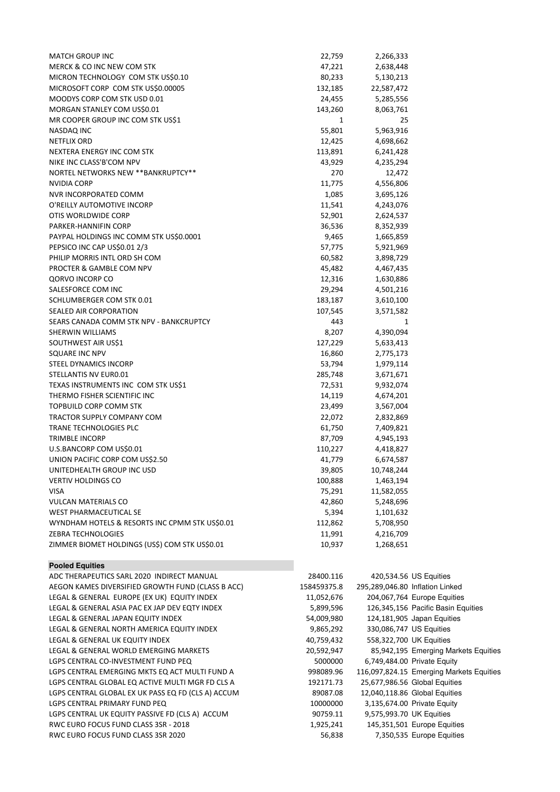| <b>MATCH GROUP INC</b>                         | 22,759  | 2,266,333  |
|------------------------------------------------|---------|------------|
| MERCK & CO INC NEW COM STK                     | 47,221  | 2,638,448  |
| MICRON TECHNOLOGY COM STK US\$0.10             | 80,233  | 5,130,213  |
| MICROSOFT CORP COM STK US\$0.00005             | 132,185 | 22,587,472 |
| MOODYS CORP COM STK USD 0.01                   | 24,455  | 5,285,556  |
| MORGAN STANLEY COM US\$0.01                    | 143,260 | 8,063,761  |
| MR COOPER GROUP INC COM STK US\$1              | 1       | 25         |
| NASDAQ INC                                     | 55,801  | 5,963,916  |
| <b>NETFLIX ORD</b>                             | 12,425  | 4,698,662  |
| NEXTERA ENERGY INC COM STK                     | 113,891 | 6,241,428  |
| NIKE INC CLASS'B'COM NPV                       | 43,929  | 4,235,294  |
| NORTEL NETWORKS NEW ** BANKRUPTCY**            | 270     | 12,472     |
| <b>NVIDIA CORP</b>                             | 11,775  | 4,556,806  |
| NVR INCORPORATED COMM                          | 1,085   | 3,695,126  |
| O'REILLY AUTOMOTIVE INCORP                     | 11,541  | 4,243,076  |
| OTIS WORLDWIDE CORP                            | 52,901  | 2,624,537  |
| PARKER-HANNIFIN CORP                           | 36,536  | 8,352,939  |
| PAYPAL HOLDINGS INC COMM STK US\$0.0001        | 9,465   | 1,665,859  |
| PEPSICO INC CAP US\$0.01 2/3                   | 57,775  | 5,921,969  |
| PHILIP MORRIS INTL ORD SH COM                  | 60,582  | 3,898,729  |
| PROCTER & GAMBLE COM NPV                       | 45,482  | 4,467,435  |
| QORVO INCORP CO                                | 12,316  | 1,630,886  |
| SALESFORCE COM INC                             | 29,294  | 4,501,216  |
| SCHLUMBERGER COM STK 0.01                      | 183,187 | 3,610,100  |
| SEALED AIR CORPORATION                         | 107,545 | 3,571,582  |
| SEARS CANADA COMM STK NPV - BANKCRUPTCY        | 443     | 1          |
| SHERWIN WILLIAMS                               | 8,207   | 4,390,094  |
| SOUTHWEST AIR US\$1                            | 127,229 | 5,633,413  |
| SQUARE INC NPV                                 | 16,860  | 2,775,173  |
| STEEL DYNAMICS INCORP                          | 53,794  | 1,979,114  |
| STELLANTIS NV EURO.01                          | 285,748 | 3,671,671  |
| TEXAS INSTRUMENTS INC COM STK US\$1            | 72,531  | 9,932,074  |
| THERMO FISHER SCIENTIFIC INC                   | 14,119  | 4,674,201  |
| TOPBUILD CORP COMM STK                         | 23,499  | 3,567,004  |
| TRACTOR SUPPLY COMPANY COM                     | 22,072  | 2,832,869  |
| TRANE TECHNOLOGIES PLC                         | 61,750  | 7,409,821  |
| <b>TRIMBLE INCORP</b>                          | 87,709  | 4,945,193  |
| U.S.BANCORP COM US\$0.01                       | 110,227 | 4,418,827  |
| UNION PACIFIC CORP COM US\$2.50                | 41,779  | 6,674,587  |
| UNITEDHEALTH GROUP INC USD                     | 39,805  | 10,748,244 |
| <b>VERTIV HOLDINGS CO</b>                      | 100,888 | 1,463,194  |
| <b>VISA</b>                                    | 75,291  | 11,582,055 |
| <b>VULCAN MATERIALS CO</b>                     | 42,860  | 5,248,696  |
| WEST PHARMACEUTICAL SE                         | 5,394   | 1,101,632  |
| WYNDHAM HOTELS & RESORTS INC CPMM STK US\$0.01 | 112,862 | 5,708,950  |
| ZEBRA TECHNOLOGIES                             | 11,991  | 4,216,709  |
| ZIMMER BIOMET HOLDINGS (US\$) COM STK US\$0.01 | 10,937  | 1,268,651  |
| <b>Pooled Equities</b>                         |         |            |

| ADC THERAPEUTICS SARL 2020 INDIRECT MANUAL         | 28400.116   | 420,534.56 US Equities                   |
|----------------------------------------------------|-------------|------------------------------------------|
| AEGON KAMES DIVERSIFIED GROWTH FUND (CLASS B ACC)  | 158459375.8 | 295,289,046.80 Inflation Linked          |
| LEGAL & GENERAL EUROPE (EX UK) EQUITY INDEX        | 11,052,676  | 204,067,764 Europe Equities              |
| LEGAL & GENERAL ASIA PAC EX JAP DEV EQTY INDEX     | 5,899,596   | 126,345,156 Pacific Basin Equities       |
| LEGAL & GENERAL JAPAN EQUITY INDEX                 | 54,009,980  | 124,181,905 Japan Equities               |
| LEGAL & GENERAL NORTH AMERICA EQUITY INDEX         | 9,865,292   | 330,086,747 US Equities                  |
| LEGAL & GENERAL UK EQUITY INDEX                    | 40,759,432  | 558,322,700 UK Equities                  |
| LEGAL & GENERAL WORLD EMERGING MARKETS             | 20,592,947  | 85,942,195 Emerging Markets Equities     |
| LGPS CENTRAL CO-INVESTMENT FUND PEQ                | 5000000     | 6,749,484.00 Private Equity              |
| LGPS CENTRAL EMERGING MKTS EQ ACT MULTI FUND A     | 998089.96   | 116,097,824.15 Emerging Markets Equities |
| LGPS CENTRAL GLOBAL EQ ACTIVE MULTI MGR FD CLS A   | 192171.73   | 25,677,986.56 Global Equities            |
| LGPS CENTRAL GLOBAL EX UK PASS EQ FD (CLS A) ACCUM | 89087.08    | 12,040,118.86 Global Equities            |
| LGPS CENTRAL PRIMARY FUND PEQ                      | 10000000    | 3,135,674.00 Private Equity              |
| LGPS CENTRAL UK EQUITY PASSIVE FD (CLS A) ACCUM    | 90759.11    | 9,575,993.70 UK Equities                 |
| RWC EURO FOCUS FUND CLASS 3SR - 2018               | 1,925,241   | 145,351,501 Europe Equities              |
| RWC EURO FOCUS FUND CLASS 3SR 2020                 | 56,838      | 7,350,535 Europe Equities                |